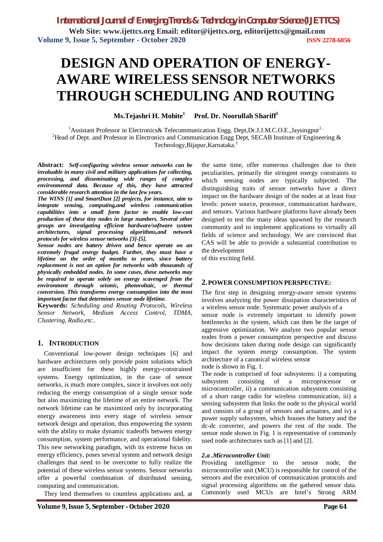# **DESIGN AND OPERATION OF ENERGY-AWARE WIRELESS SENSOR NETWORKS THROUGH SCHEDULING AND ROUTING**

**Ms.Tejashri H. Mohite<sup>1</sup> Prof. Dr. Noorullah Shariff<sup>2</sup>**

<sup>1</sup>Assistant Professor in Electronics & Telecommunication Engg. Dept, Dr.J.J.M.C.O.E., Jaysingpur<sup>1</sup>, <sup>2</sup>Head of Dept. and Professor in Electronics and Communication Engg Dept, SECAB Institute of Engineering & Technology, Bijapur, Karnataka.<sup>2</sup>

**Abstract:** *Self-configuring wireless sensor networks can be invaluable in many civil and military applications for collecting, processing, and disseminating wide ranges of complex environmental data. Because of this, they have attracted considerable research attention in the last few years.* 

*The WINS [1] and SmartDust [2] projects, for instance, aim to integrate sensing, computing,and wireless communication capabilities into a small form factor to enable low-cost production of these tiny nodes in large numbers. Several other groups are investigating efficient hardware/software system architectures, signal processing algorithms,and network protocols for wireless sensor networks [3]-[5].*

*Sensor nodes are battery driven and hence operate on an extremely frugal energy budget. Further, they must have a lifetime on the order of months to years, since battery replacement is not an option for networks with thousands of physically embedded nodes. In some cases, these networks may be required to operate solely on energy scavenged from the environment through seismic, photovoltaic, or thermal conversion. This transforms energy consumption into the most important factor that determines sensor node lifetime.*

**Keywords:** *Scheduling and Routing Protocols, Wireless Sensor Network, Medium Access Control, TDMA, Clustering, Radio,etc..*

# **1. INTRODUCTION**

Conventional low-power design techniques [6] and hardware architectures only provide point solutions which are insufficient for these highly energy-constrained systems. Energy optimization, in the case of sensor networks, is much more complex, since it involves not only reducing the energy consumption of a single sensor node but also maximizing the lifetime of an entire network. The network lifetime can be maximized only by incorporating energy awareness into every stage of wireless sensor network design and operation, thus empowering the system with the ability to make dynamic tradeoffs between energy consumption, system performance, and operational fidelity. This new networking paradigm, with its extreme focus on energy efficiency, poses several system and network design challenges that need to be overcome to fully realize the potential of these wireless sensor systems. Sensor networks offer a powerful combination of distributed sensing, computing and communication.

They lend themselves to countless applications and, at

the same time, offer numerous challenges due to their peculiarities, primarily the stringent energy constraints to which sensing nodes are typically subjected. The distinguishing traits of sensor networks have a direct impact on the hardware design of the nodes at at least four levels: power source, processor, communication hardware, and sensors. Various hardware platforms have already been designed to test the many ideas spawned by the research community and to implement applications to virtually all fields of science and technology. We are convinced that CAS will be able to provide a substantial contribution to the development

of this exciting field.

# **2.POWER CONSUMPTION PERSPECTIVE:**

The first step in designing energy-aware sensor systems involves analyzing the power dissipation characteristics of a wireless sensor node. Systematic power analysis of a

sensor node is extremely important to identify power bottlenecks in the system, which can then be the target of aggressive optimization. We analyze two popular sensor nodes from a power consumption perspective and discuss how decisions taken during node design can significantly impact the system energy consumption. The system architecture of a canonical wireless sensor

node is shown in Fig. 1.

The node is comprised of four subsystems: i) a computing subsystem consisting of a microprocessor or microcontroller, ii) a communication subsystem consisting of a short range radio for wireless communication, iii) a sensing subsystem that links the node to the physical world and consists of a group of sensors and actuators, and iv) a power supply subsystem, which houses the battery and the dc-dc converter, and powers the rest of the node. The sensor node shown in Fig. 1 is representative of commonly used node architectures such as [1] and [2].

### *2.a .Microcontroller Unit:*

Providing intelligence to the sensor node, the microcontroller unit (MCU) is responsible for control of the sensors and the execution of communication protocols and signal processing algorithms on the gathered sensor data. Commonly used MCUs are Intel's Strong ARM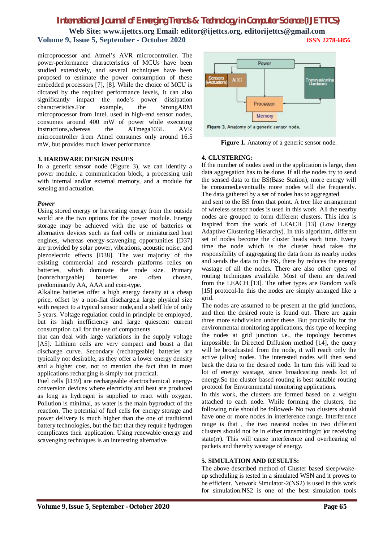# *International Journal of Emerging Trends & Technology in Computer Science (IJETTCS)*

**Web Site: www.ijettcs.org Email: editor@ijettcs.org, editorijettcs@gmail.com Volume 9, Issue 5, September - October 2020 ISSN 2278-6856**

microprocessor and Atmel's AVR microcontroller. The power-performance characteristics of MCUs have been studied extensively, and several techniques have been proposed to estimate the power consumption of these embedded processors [7], [8]. While the choice of MCU is dictated by the required performance levels, it can also significantly impact the node's power dissipation characteristics.For example, the StrongARM microprocessor from Intel, used in high-end sensor nodes, consumes around 400 mW of power while executing instructions,whereas the ATmega103L AVR microcontroller from Atmel consumes only around 16.5 mW, but provides much lower performance.

#### **3. HARDWARE DESIGN ISSUES**

In a generic sensor node (Figure 3), we can identify a power module, a communication block, a processing unit with internal and/or external memory, and a module for sensing and actuation.

#### *Power*

Using stored energy or harvesting energy from the outside world are the two options for the power module. Energy storage may be achieved with the use of batteries or alternative devices such as fuel cells or miniaturized heat engines, whereas energy-scavenging opportunities [D37] are provided by solar power, vibrations, acoustic noise, and piezoelectric effects [D38]. The vast majority of the existing commercial and research platforms relies on batteries, which dominate the node size. Primary (nonrechargeable) batteries are often chosen, predominantly AA, AAA and coin-type.

Alkaline batteries offer a high energy density at a cheap price, offset by a non-flat discharge,a large physical size with respect to a typical sensor node, and a shelf life of only 5 years. Voltage regulation could in principle be employed, but its high inefficiency and large quiescent current consumption call for the use of components

that can deal with large variations in the supply voltage [A5]. Lithium cells are very compact and boast a flat discharge curve. Secondary (rechargeable) batteries are typically not desirable, as they offer a lower energy density and a higher cost, not to mention the fact that in most applications recharging is simply not practical.

Fuel cells [D39] are rechargeable electrochemical energyconversion devices where electricity and heat are produced as long as hydrogen is supplied to react with oxygen. Pollution is minimal, as water is the main byproduct of the reaction. The potential of fuel cells for energy storage and power delivery is much higher than the one of traditional battery technologies, but the fact that they require hydrogen complicates their application. Using renewable energy and scavenging techniques is an interesting alternative



Figure 1. Anatomy of a generic sensor node.

#### **4. CLUSTERING:**

If the number of nodes used in the application is large, then data aggregation has to be done. If all the nodes try to send the sensed data to the BS(Base Station), more energy will be consumed,eventually more nodes will die frequently. The data gathered by a set of nodes has to aggregated

and sent to the BS from that point. A tree like arrangement of wireless sensor nodes is used in this work. All the nearby nodes are grouped to form different clusters. This idea is inspired from the work of LEACH [13] (Low Energy Adaptive Clustering Hierarchy). In this algorithm, different set of nodes become the cluster heads each time. Every time the node which is the cluster head takes the responsibility of aggregating the data from its nearby nodes and sends the data to the BS, there by reduces the energy wastage of all the nodes. There are also other types of routing techniques available. Most of them are derived from the LEACH [13]. The other types are Random walk [15] protocol-In this the nodes are simply arranged like a grid.

The nodes are assumed to be present at the grid junctions, and then the desired route is found out. There are again three more subdivision under these. But practically for the environmental monitoring applications, this type of keeping the nodes at grid junction i.e., the topology becomes impossible. In Directed Diffusion method [14], the query will be broadcasted from the node, it will reach only the active (alive) nodes. The interested nodes will then send back the data to the desired node. In turn this will lead to lot of energy wastage, since broadcasting needs lot of energy.So the cluster based routing is best suitable routing protocol for Environmental monitoring applications.

In this work, the clusters are formed based on a weight attached to each node. While forming the clusters, the following rule should be followed- No two clusters should have one or more nodes in interference range. Interference range is that , the two nearest nodes in two different clusters should not be in either transmitting(rt )or receiving state(rr). This will cause interference and overhearing of packets and thereby wastage of energy.

#### **5. SIMULATION AND RESULTS:**

The above described method of Cluster based sleep/wakeup scheduling is tested in a simulated WSN and it proves to be efficient. Network Simulator-2(NS2) is used in this work for simulation.NS2 is one of the best simulation tools